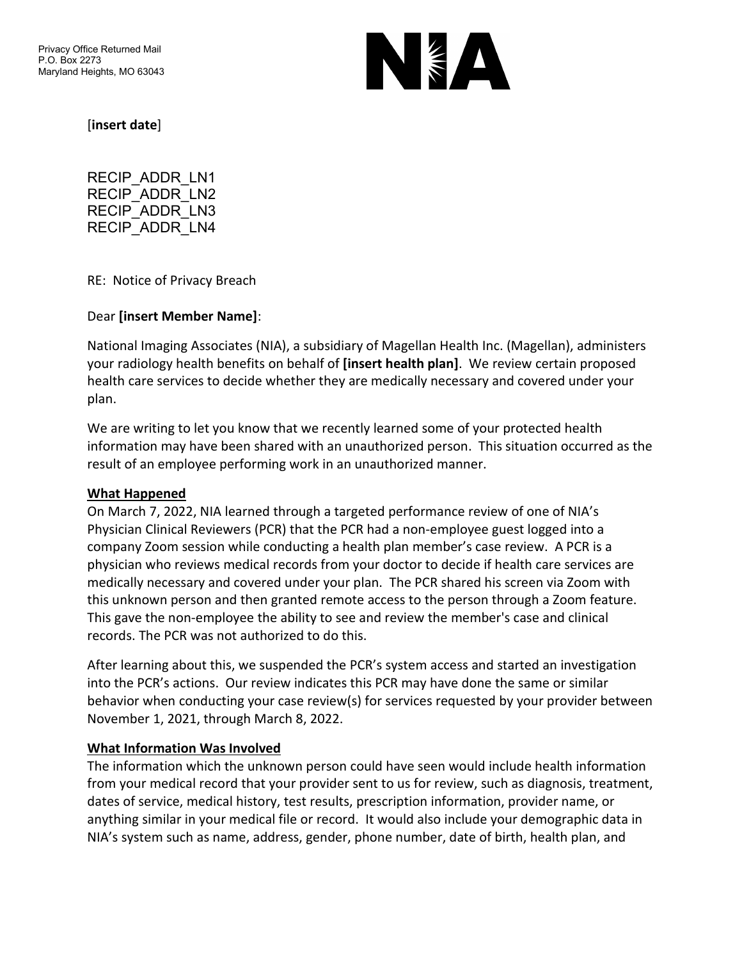

[**insert date**]

RECIP\_ADDR\_LN1 RECIP\_ADDR\_LN2 RECIP\_ADDR\_LN3 RECIP\_ADDR\_LN4

RE: Notice of Privacy Breach

### Dear **[insert Member Name]**:

National Imaging Associates (NIA), a subsidiary of Magellan Health Inc. (Magellan), administers your radiology health benefits on behalf of **[insert health plan]**. We review certain proposed health care services to decide whether they are medically necessary and covered under your plan.

We are writing to let you know that we recently learned some of your protected health information may have been shared with an unauthorized person. This situation occurred as the result of an employee performing work in an unauthorized manner.

### **What Happened**

On March 7, 2022, NIA learned through a targeted performance review of one of NIA's Physician Clinical Reviewers (PCR) that the PCR had a non-employee guest logged into a company Zoom session while conducting a health plan member's case review. A PCR is a physician who reviews medical records from your doctor to decide if health care services are medically necessary and covered under your plan. The PCR shared his screen via Zoom with this unknown person and then granted remote access to the person through a Zoom feature. This gave the non-employee the ability to see and review the member's case and clinical records. The PCR was not authorized to do this.

After learning about this, we suspended the PCR's system access and started an investigation into the PCR's actions. Our review indicates this PCR may have done the same or similar behavior when conducting your case review(s) for services requested by your provider between November 1, 2021, through March 8, 2022.

### **What Information Was Involved**

The information which the unknown person could have seen would include health information from your medical record that your provider sent to us for review, such as diagnosis, treatment, dates of service, medical history, test results, prescription information, provider name, or anything similar in your medical file or record. It would also include your demographic data in NIA's system such as name, address, gender, phone number, date of birth, health plan, and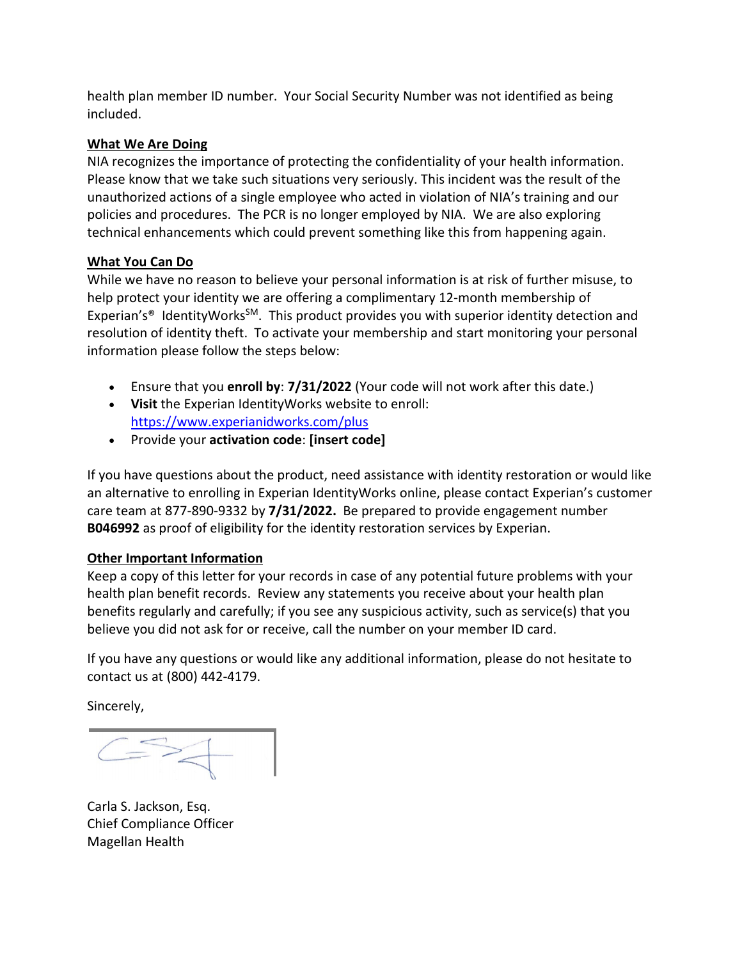health plan member ID number. Your Social Security Number was not identified as being included.

## **What We Are Doing**

NIA recognizes the importance of protecting the confidentiality of your health information. Please know that we take such situations very seriously. This incident was the result of the unauthorized actions of a single employee who acted in violation of NIA's training and our policies and procedures. The PCR is no longer employed by NIA. We are also exploring technical enhancements which could prevent something like this from happening again.

# **What You Can Do**

While we have no reason to believe your personal information is at risk of further misuse, to help protect your identity we are offering a complimentary 12-month membership of Experian's<sup>®</sup> IdentityWorks<sup>SM</sup>. This product provides you with superior identity detection and resolution of identity theft. To activate your membership and start monitoring your personal information please follow the steps below:

- Ensure that you **enroll by**: **7/31/2022** (Your code will not work after this date.)
- **Visit** the Experian IdentityWorks website to enroll: <https://www.experianidworks.com/plus>
- Provide your **activation code**: **[insert code]**

If you have questions about the product, need assistance with identity restoration or would like an alternative to enrolling in Experian IdentityWorks online, please contact Experian's customer care team at 877-890-9332 by **7/31/2022.** Be prepared to provide engagement number **B046992** as proof of eligibility for the identity restoration services by Experian.

### **Other Important Information**

Keep a copy of this letter for your records in case of any potential future problems with your health plan benefit records. Review any statements you receive about your health plan benefits regularly and carefully; if you see any suspicious activity, such as service(s) that you believe you did not ask for or receive, call the number on your member ID card.

If you have any questions or would like any additional information, please do not hesitate to contact us at (800) 442-4179.

Sincerely,

 $C = 2$ 

Carla S. Jackson, Esq. Chief Compliance Officer Magellan Health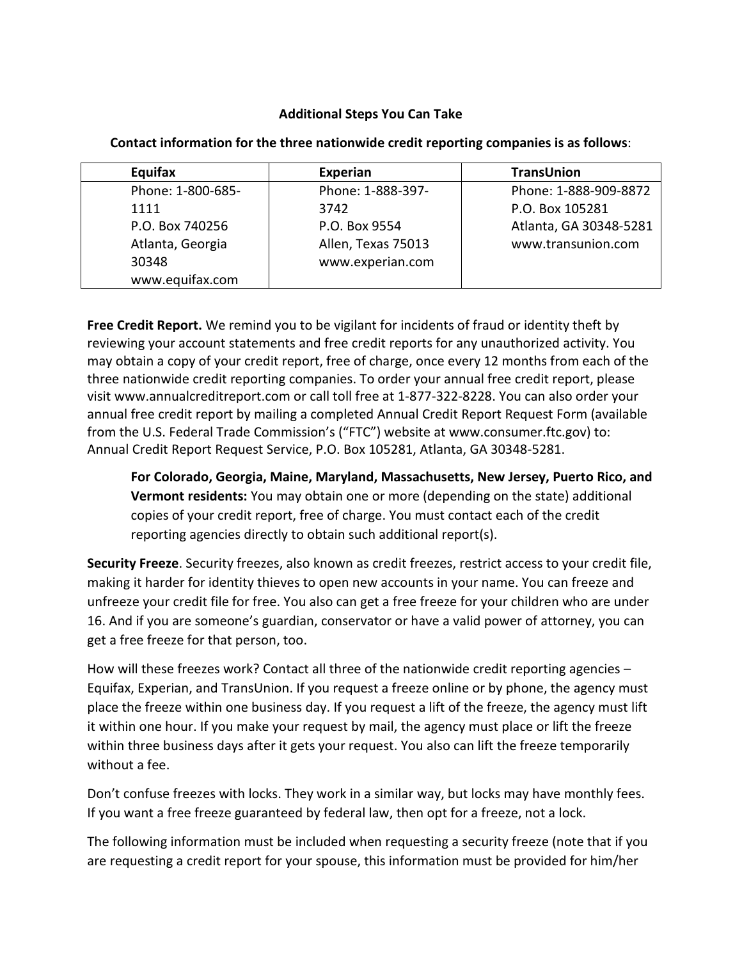### **Additional Steps You Can Take**

| Equifax           | Experian           | <b>TransUnion</b>      |
|-------------------|--------------------|------------------------|
| Phone: 1-800-685- | Phone: 1-888-397-  | Phone: 1-888-909-8872  |
| 1111              | 3742               | P.O. Box 105281        |
| P.O. Box 740256   | P.O. Box 9554      | Atlanta, GA 30348-5281 |
| Atlanta, Georgia  | Allen, Texas 75013 | www.transunion.com     |
| 30348             | www.experian.com   |                        |
| www.equifax.com   |                    |                        |

**Contact information for the three nationwide credit reporting companies is as follows**:

**Free Credit Report.** We remind you to be vigilant for incidents of fraud or identity theft by reviewing your account statements and free credit reports for any unauthorized activity. You may obtain a copy of your credit report, free of charge, once every 12 months from each of the three nationwide credit reporting companies. To order your annual free credit report, please visit www.annualcreditreport.com or call toll free at 1-877-322-8228. You can also order your annual free credit report by mailing a completed Annual Credit Report Request Form (available from the U.S. Federal Trade Commission's ("FTC") website at www.consumer.ftc.gov) to: Annual Credit Report Request Service, P.O. Box 105281, Atlanta, GA 30348-5281.

**For Colorado, Georgia, Maine, Maryland, Massachusetts, New Jersey, Puerto Rico, and Vermont residents:** You may obtain one or more (depending on the state) additional copies of your credit report, free of charge. You must contact each of the credit reporting agencies directly to obtain such additional report(s).

**Security Freeze**. Security freezes, also known as credit freezes, restrict access to your credit file, making it harder for identity thieves to open new accounts in your name. You can freeze and unfreeze your credit file for free. You also can get a free freeze for your children who are under 16. And if you are someone's guardian, conservator or have a valid power of attorney, you can get a free freeze for that person, too.

How will these freezes work? Contact all three of the nationwide credit reporting agencies – Equifax, Experian, and TransUnion. If you request a freeze online or by phone, the agency must place the freeze within one business day. If you request a lift of the freeze, the agency must lift it within one hour. If you make your request by mail, the agency must place or lift the freeze within three business days after it gets your request. You also can lift the freeze temporarily without a fee.

Don't confuse freezes with locks. They work in a similar way, but locks may have monthly fees. If you want a free freeze guaranteed by federal law, then opt for a freeze, not a lock.

The following information must be included when requesting a security freeze (note that if you are requesting a credit report for your spouse, this information must be provided for him/her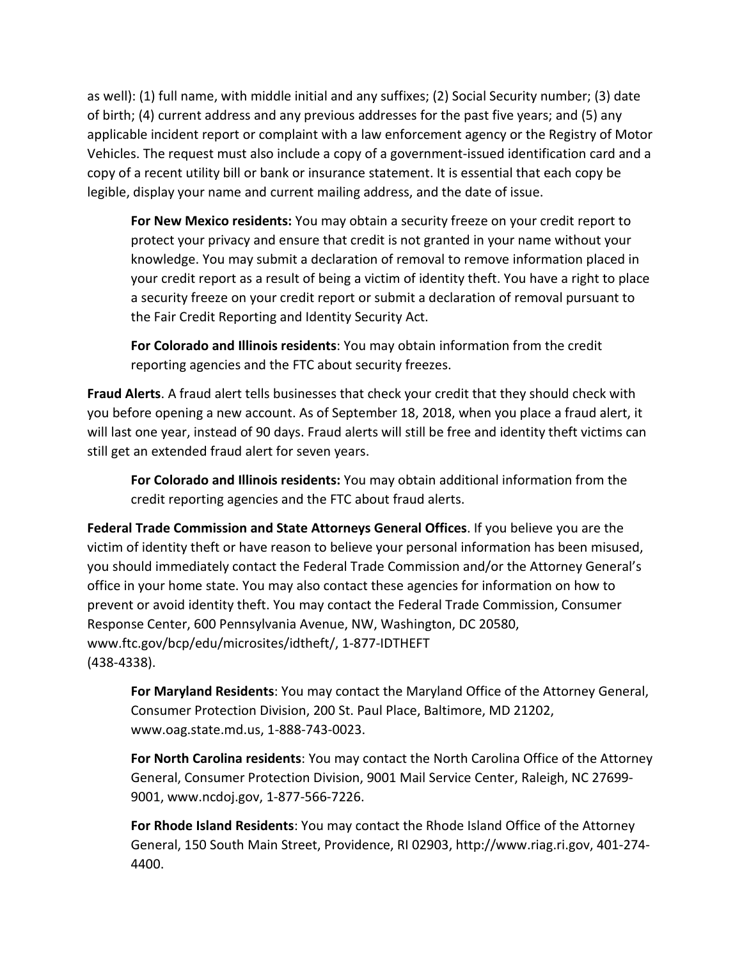as well): (1) full name, with middle initial and any suffixes; (2) Social Security number; (3) date of birth; (4) current address and any previous addresses for the past five years; and (5) any applicable incident report or complaint with a law enforcement agency or the Registry of Motor Vehicles. The request must also include a copy of a government-issued identification card and a copy of a recent utility bill or bank or insurance statement. It is essential that each copy be legible, display your name and current mailing address, and the date of issue.

**For New Mexico residents:** You may obtain a security freeze on your credit report to protect your privacy and ensure that credit is not granted in your name without your knowledge. You may submit a declaration of removal to remove information placed in your credit report as a result of being a victim of identity theft. You have a right to place a security freeze on your credit report or submit a declaration of removal pursuant to the Fair Credit Reporting and Identity Security Act.

**For Colorado and Illinois residents**: You may obtain information from the credit reporting agencies and the FTC about security freezes.

**Fraud Alerts**. A fraud alert tells businesses that check your credit that they should check with you before opening a new account. As of September 18, 2018, when you place a fraud alert, it will last one year, instead of 90 days. Fraud alerts will still be free and identity theft victims can still get an extended fraud alert for seven years.

**For Colorado and Illinois residents:** You may obtain additional information from the credit reporting agencies and the FTC about fraud alerts.

**Federal Trade Commission and State Attorneys General Offices**. If you believe you are the victim of identity theft or have reason to believe your personal information has been misused, you should immediately contact the Federal Trade Commission and/or the Attorney General's office in your home state. You may also contact these agencies for information on how to prevent or avoid identity theft. You may contact the Federal Trade Commission, Consumer Response Center, 600 Pennsylvania Avenue, NW, Washington, DC 20580, www.ftc.gov/bcp/edu/microsites/idtheft/, 1-877-IDTHEFT (438-4338).

**For Maryland Residents**: You may contact the Maryland Office of the Attorney General, Consumer Protection Division, 200 St. Paul Place, Baltimore, MD 21202, www.oag.state.md.us, 1-888-743-0023.

**For North Carolina residents**: You may contact the North Carolina Office of the Attorney General, Consumer Protection Division, 9001 Mail Service Center, Raleigh, NC 27699- 9001, www.ncdoj.gov, 1-877-566-7226.

**For Rhode Island Residents**: You may contact the Rhode Island Office of the Attorney General, 150 South Main Street, Providence, RI 02903, http://www.riag.ri.gov, 401-274- 4400.